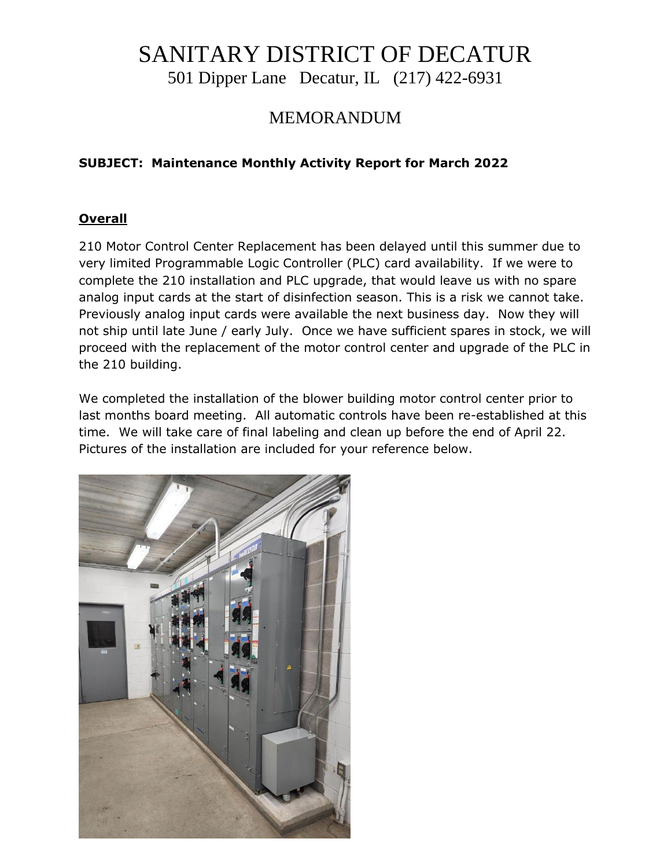# SANITARY DISTRICT OF DECATUR

501 Dipper Lane Decatur, IL (217) 422-6931

### MEMORANDUM

### **SUBJECT: Maintenance Monthly Activity Report for March 2022**

### **Overall**

210 Motor Control Center Replacement has been delayed until this summer due to very limited Programmable Logic Controller (PLC) card availability. If we were to complete the 210 installation and PLC upgrade, that would leave us with no spare analog input cards at the start of disinfection season. This is a risk we cannot take. Previously analog input cards were available the next business day. Now they will not ship until late June / early July. Once we have sufficient spares in stock, we will proceed with the replacement of the motor control center and upgrade of the PLC in the 210 building.

We completed the installation of the blower building motor control center prior to last months board meeting. All automatic controls have been re-established at this time. We will take care of final labeling and clean up before the end of April 22. Pictures of the installation are included for your reference below.

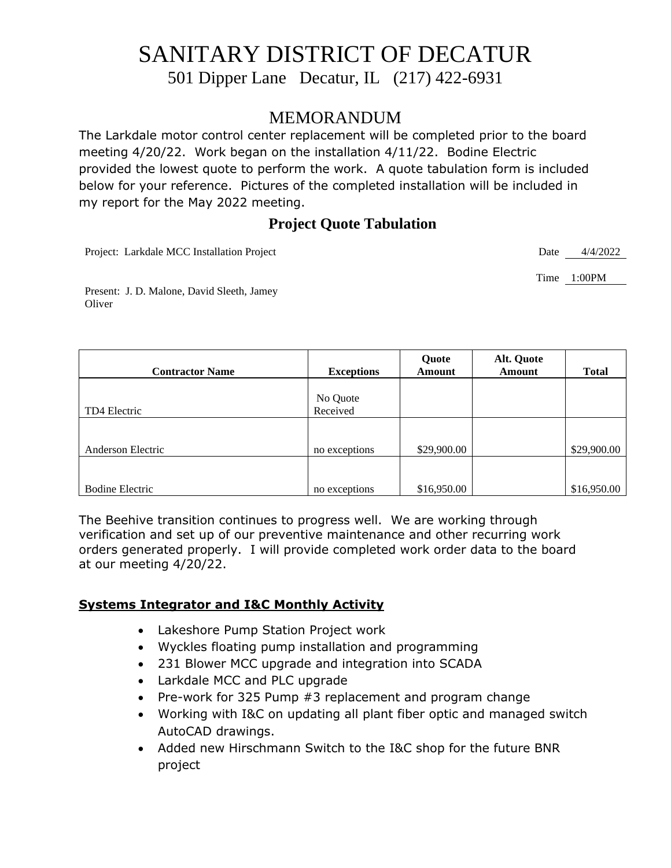## SANITARY DISTRICT OF DECATUR

501 Dipper Lane Decatur, IL (217) 422-6931

### MEMORANDUM

The Larkdale motor control center replacement will be completed prior to the board meeting 4/20/22. Work began on the installation 4/11/22. Bodine Electric provided the lowest quote to perform the work. A quote tabulation form is included below for your reference. Pictures of the completed installation will be included in my report for the May 2022 meeting.

### **Project Quote Tabulation**

Project: Larkdale MCC Installation Project Date 4/4/2022

Time 1:00PM

Present: J. D. Malone, David Sleeth, Jamey **Oliver** 

| <b>Contractor Name</b> | <b>Exceptions</b>    | Quote<br>Amount | Alt. Quote<br><b>Amount</b> | <b>Total</b> |
|------------------------|----------------------|-----------------|-----------------------------|--------------|
| TD4 Electric           | No Quote<br>Received |                 |                             |              |
|                        |                      |                 |                             |              |
| Anderson Electric      | no exceptions        | \$29,900.00     |                             | \$29,900.00  |
|                        |                      |                 |                             |              |
| <b>Bodine Electric</b> | no exceptions        | \$16,950.00     |                             | \$16,950.00  |

The Beehive transition continues to progress well. We are working through verification and set up of our preventive maintenance and other recurring work orders generated properly. I will provide completed work order data to the board at our meeting 4/20/22.

### **Systems Integrator and I&C Monthly Activity**

- Lakeshore Pump Station Project work
- Wyckles floating pump installation and programming
- 231 Blower MCC upgrade and integration into SCADA
- Larkdale MCC and PLC upgrade
- Pre-work for 325 Pump #3 replacement and program change
- Working with I&C on updating all plant fiber optic and managed switch AutoCAD drawings.
- Added new Hirschmann Switch to the I&C shop for the future BNR project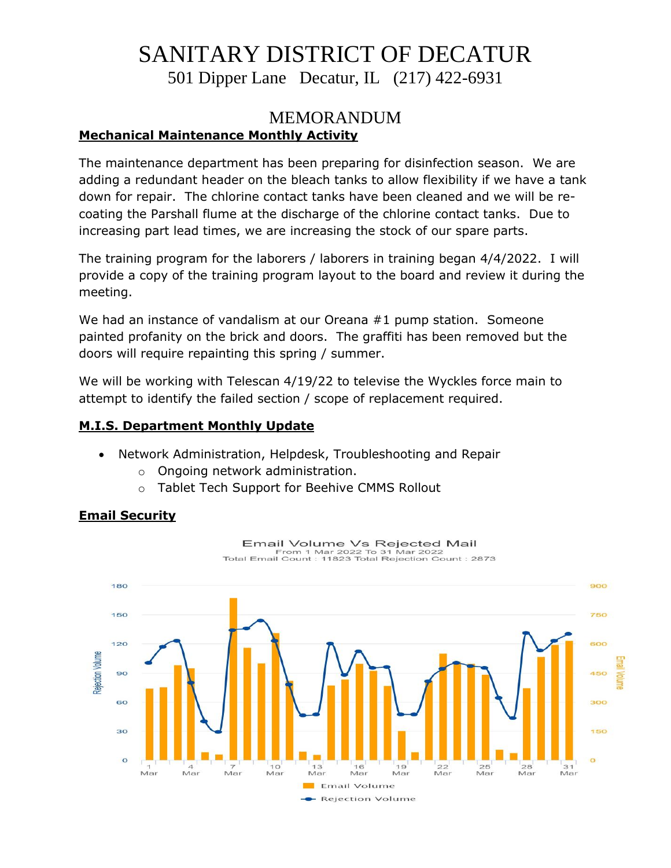# SANITARY DISTRICT OF DECATUR

501 Dipper Lane Decatur, IL (217) 422-6931

### MEMORANDUM **Mechanical Maintenance Monthly Activity**

The maintenance department has been preparing for disinfection season. We are adding a redundant header on the bleach tanks to allow flexibility if we have a tank down for repair. The chlorine contact tanks have been cleaned and we will be recoating the Parshall flume at the discharge of the chlorine contact tanks. Due to increasing part lead times, we are increasing the stock of our spare parts.

The training program for the laborers / laborers in training began 4/4/2022. I will provide a copy of the training program layout to the board and review it during the meeting.

We had an instance of vandalism at our Oreana #1 pump station. Someone painted profanity on the brick and doors. The graffiti has been removed but the doors will require repainting this spring / summer.

We will be working with Telescan 4/19/22 to televise the Wyckles force main to attempt to identify the failed section / scope of replacement required.

### **M.I.S. Department Monthly Update**

- Network Administration, Helpdesk, Troubleshooting and Repair
	- o Ongoing network administration.
	- o Tablet Tech Support for Beehive CMMS Rollout

### **Email Security**